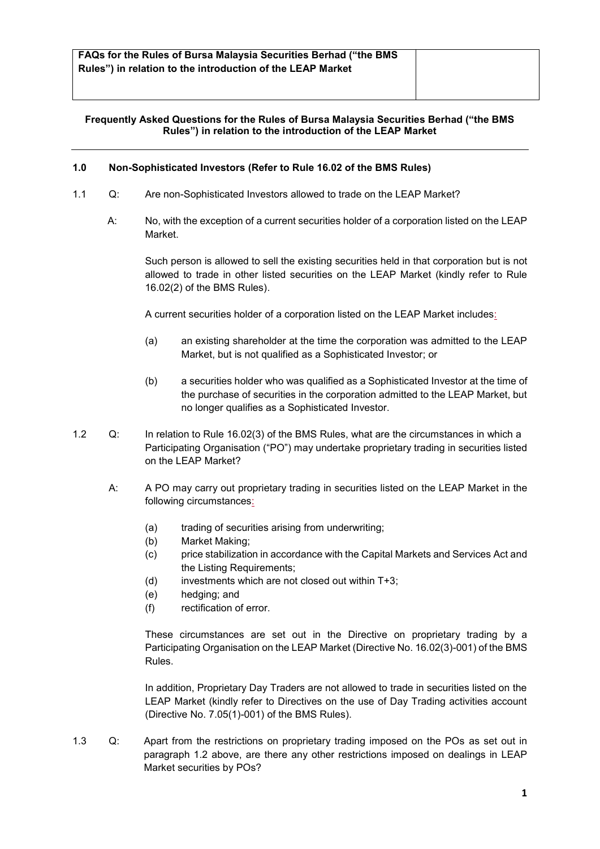# **Frequently Asked Questions for the Rules of Bursa Malaysia Securities Berhad ("the BMS Rules") in relation to the introduction of the LEAP Market**

### **1.0 Non-Sophisticated Investors (Refer to Rule 16.02 of the BMS Rules)**

- 1.1 Q: Are non-Sophisticated Investors allowed to trade on the LEAP Market?
	- A: No, with the exception of a current securities holder of a corporation listed on the LEAP Market.

Such person is allowed to sell the existing securities held in that corporation but is not allowed to trade in other listed securities on the LEAP Market (kindly refer to Rule 16.02(2) of the BMS Rules).

A current securities holder of a corporation listed on the LEAP Market includes:

- (a) an existing shareholder at the time the corporation was admitted to the LEAP Market, but is not qualified as a Sophisticated Investor; or
- (b) a securities holder who was qualified as a Sophisticated Investor at the time of the purchase of securities in the corporation admitted to the LEAP Market, but no longer qualifies as a Sophisticated Investor.
- 1.2 Q: In relation to Rule 16.02(3) of the BMS Rules, what are the circumstances in which a Participating Organisation ("PO") may undertake proprietary trading in securities listed on the LEAP Market?
	- A: A PO may carry out proprietary trading in securities listed on the LEAP Market in the following circumstances:
		- (a) trading of securities arising from underwriting;
		- (b) Market Making;
		- (c) price stabilization in accordance with the Capital Markets and Services Act and the Listing Requirements;
		- $(d)$  investments which are not closed out within  $T+3$ :
		- (e) hedging; and
		- (f) rectification of error.

These circumstances are set out in the Directive on proprietary trading by a Participating Organisation on the LEAP Market (Directive No. 16.02(3)-001) of the BMS Rules.

In addition, Proprietary Day Traders are not allowed to trade in securities listed on the LEAP Market (kindly refer to Directives on the use of Day Trading activities account (Directive No. 7.05(1)-001) of the BMS Rules).

1.3 Q: Apart from the restrictions on proprietary trading imposed on the POs as set out in paragraph 1.2 above, are there any other restrictions imposed on dealings in LEAP Market securities by POs?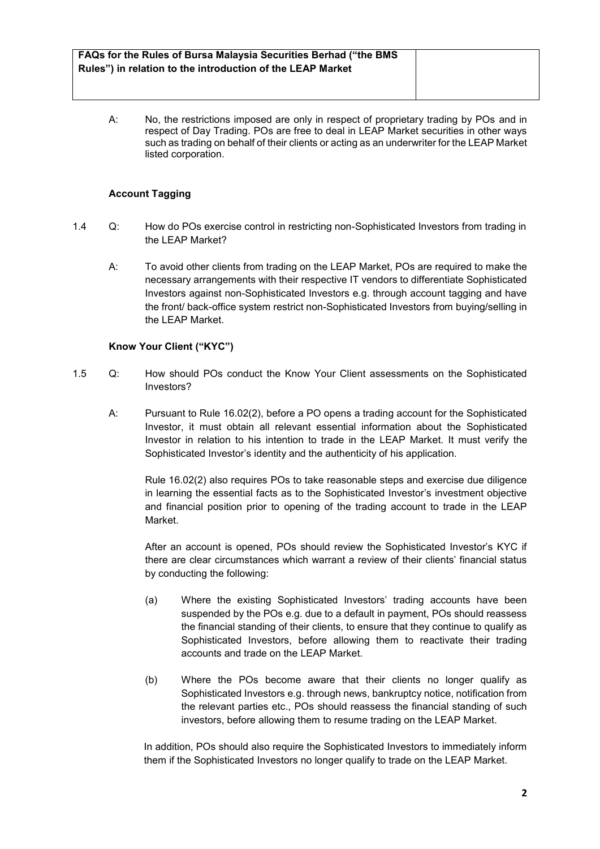| FAQs for the Rules of Bursa Malaysia Securities Berhad ("the BMS |  |
|------------------------------------------------------------------|--|
| Rules") in relation to the introduction of the LEAP Market       |  |

A: No, the restrictions imposed are only in respect of proprietary trading by POs and in respect of Day Trading. POs are free to deal in LEAP Market securities in other ways such as trading on behalf of their clients or acting as an underwriter for the LEAP Market listed corporation.

# **Account Tagging**

- 1.4 Q: How do POs exercise control in restricting non-Sophisticated Investors from trading in the LEAP Market?
	- A: To avoid other clients from trading on the LEAP Market, POs are required to make the necessary arrangements with their respective IT vendors to differentiate Sophisticated Investors against non-Sophisticated Investors e.g. through account tagging and have the front/ back-office system restrict non-Sophisticated Investors from buying/selling in the LEAP Market.

# **Know Your Client ("KYC")**

- 1.5 Q: How should POs conduct the Know Your Client assessments on the Sophisticated Investors?
	- A: Pursuant to Rule 16.02(2), before a PO opens a trading account for the Sophisticated Investor, it must obtain all relevant essential information about the Sophisticated Investor in relation to his intention to trade in the LEAP Market. It must verify the Sophisticated Investor's identity and the authenticity of his application.

Rule 16.02(2) also requires POs to take reasonable steps and exercise due diligence in learning the essential facts as to the Sophisticated Investor's investment objective and financial position prior to opening of the trading account to trade in the LEAP Market.

After an account is opened, POs should review the Sophisticated Investor's KYC if there are clear circumstances which warrant a review of their clients' financial status by conducting the following:

- (a) Where the existing Sophisticated Investors' trading accounts have been suspended by the POs e.g. due to a default in payment, POs should reassess the financial standing of their clients, to ensure that they continue to qualify as Sophisticated Investors, before allowing them to reactivate their trading accounts and trade on the LEAP Market.
- (b) Where the POs become aware that their clients no longer qualify as Sophisticated Investors e.g. through news, bankruptcy notice, notification from the relevant parties etc., POs should reassess the financial standing of such investors, before allowing them to resume trading on the LEAP Market.

In addition, POs should also require the Sophisticated Investors to immediately inform them if the Sophisticated Investors no longer qualify to trade on the LEAP Market.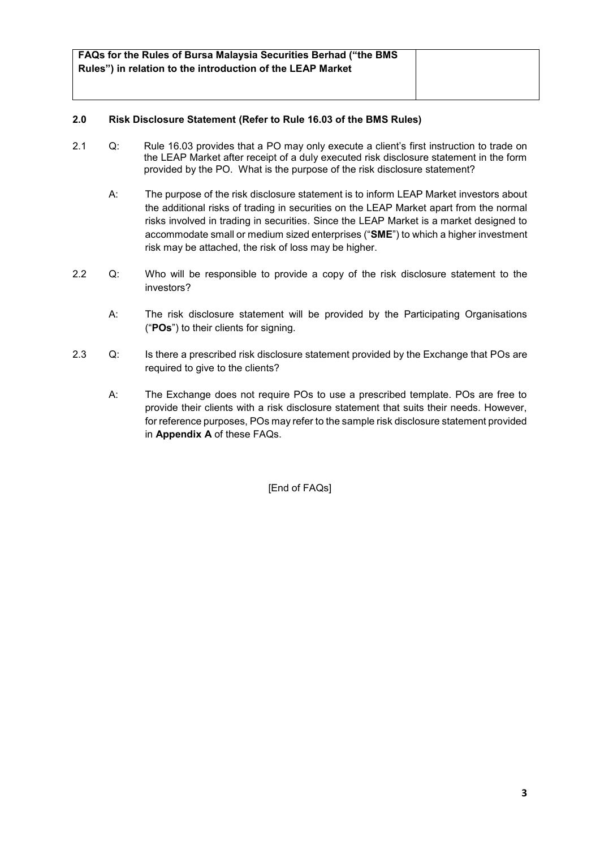| <b>FAQs for the Rules of Bursa Malaysia Securities Berhad ("the BMS</b> |  |
|-------------------------------------------------------------------------|--|
|                                                                         |  |
| Rules") in relation to the introduction of the LEAP Market              |  |
|                                                                         |  |
|                                                                         |  |
|                                                                         |  |

# **2.0 Risk Disclosure Statement (Refer to Rule 16.03 of the BMS Rules)**

- 2.1 Q: Rule 16.03 provides that a PO may only execute a client's first instruction to trade on the LEAP Market after receipt of a duly executed risk disclosure statement in the form provided by the PO. What is the purpose of the risk disclosure statement?
	- A: The purpose of the risk disclosure statement is to inform LEAP Market investors about the additional risks of trading in securities on the LEAP Market apart from the normal risks involved in trading in securities. Since the LEAP Market is a market designed to accommodate small or medium sized enterprises ("**SME**") to which a higher investment risk may be attached, the risk of loss may be higher.
- 2.2 Q: Who will be responsible to provide a copy of the risk disclosure statement to the investors?
	- A: The risk disclosure statement will be provided by the Participating Organisations ("**POs**") to their clients for signing.
- 2.3 Q: Is there a prescribed risk disclosure statement provided by the Exchange that POs are required to give to the clients?
	- A: The Exchange does not require POs to use a prescribed template. POs are free to provide their clients with a risk disclosure statement that suits their needs. However, for reference purposes, POs may refer to the sample risk disclosure statement provided in **Appendix A** of these FAQs.

[End of FAQs]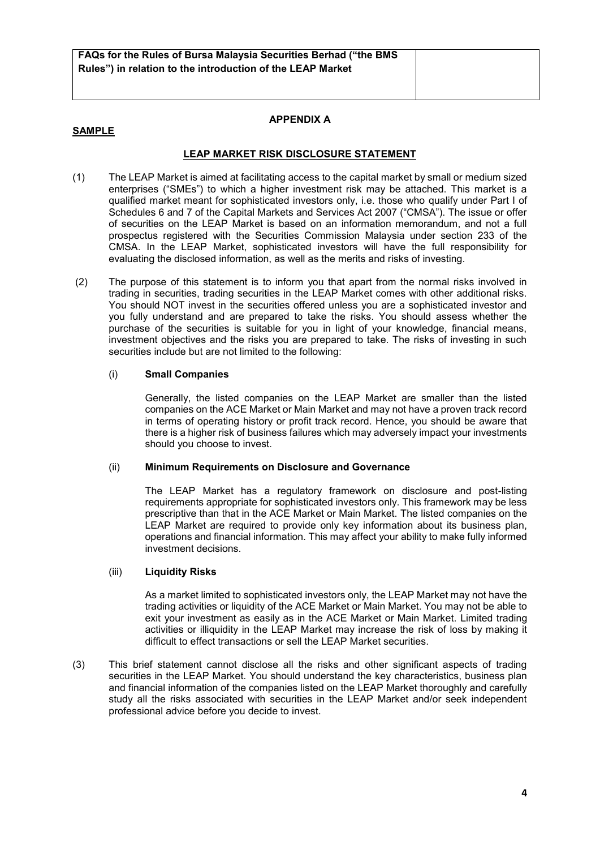### **SAMPLE**

# **APPENDIX A**

# **LEAP MARKET RISK DISCLOSURE STATEMENT**

- (1) The LEAP Market is aimed at facilitating access to the capital market by small or medium sized enterprises ("SMEs") to which a higher investment risk may be attached. This market is a qualified market meant for sophisticated investors only, i.e. those who qualify under Part I of Schedules 6 and 7 of the Capital Markets and Services Act 2007 ("CMSA"). The issue or offer of securities on the LEAP Market is based on an information memorandum, and not a full prospectus registered with the Securities Commission Malaysia under section 233 of the CMSA. In the LEAP Market, sophisticated investors will have the full responsibility for evaluating the disclosed information, as well as the merits and risks of investing.
- (2) The purpose of this statement is to inform you that apart from the normal risks involved in trading in securities, trading securities in the LEAP Market comes with other additional risks. You should NOT invest in the securities offered unless you are a sophisticated investor and you fully understand and are prepared to take the risks. You should assess whether the purchase of the securities is suitable for you in light of your knowledge, financial means, investment objectives and the risks you are prepared to take. The risks of investing in such securities include but are not limited to the following:

#### (i) **Small Companies**

Generally, the listed companies on the LEAP Market are smaller than the listed companies on the ACE Market or Main Market and may not have a proven track record in terms of operating history or profit track record. Hence, you should be aware that there is a higher risk of business failures which may adversely impact your investments should you choose to invest.

#### (ii) **Minimum Requirements on Disclosure and Governance**

The LEAP Market has a regulatory framework on disclosure and post-listing requirements appropriate for sophisticated investors only. This framework may be less prescriptive than that in the ACE Market or Main Market. The listed companies on the LEAP Market are required to provide only key information about its business plan, operations and financial information. This may affect your ability to make fully informed investment decisions.

#### (iii) **Liquidity Risks**

As a market limited to sophisticated investors only, the LEAP Market may not have the trading activities or liquidity of the ACE Market or Main Market. You may not be able to exit your investment as easily as in the ACE Market or Main Market. Limited trading activities or illiquidity in the LEAP Market may increase the risk of loss by making it difficult to effect transactions or sell the LEAP Market securities.

(3) This brief statement cannot disclose all the risks and other significant aspects of trading securities in the LEAP Market. You should understand the key characteristics, business plan and financial information of the companies listed on the LEAP Market thoroughly and carefully study all the risks associated with securities in the LEAP Market and/or seek independent professional advice before you decide to invest.